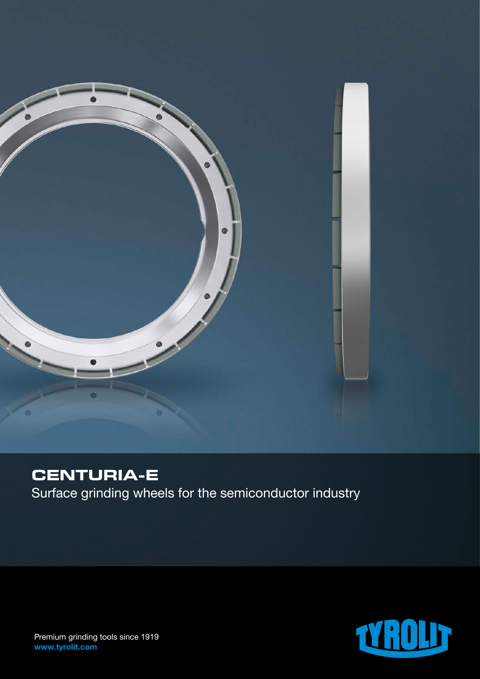

# **CENTURIA-E**

Surface grinding wheels for the semiconductor industry



Premium grinding tools since 1919 www.tyrolit.com